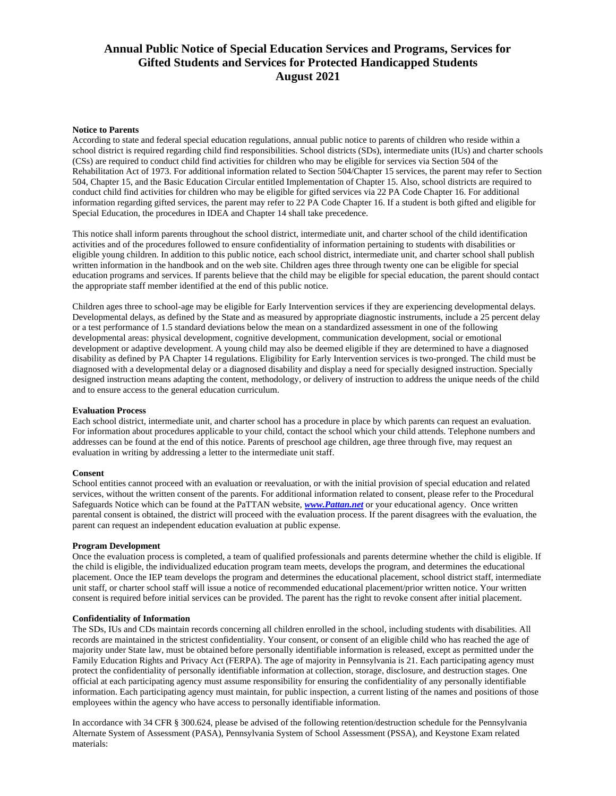# **Annual Public Notice of Special Education Services and Programs, Services for Gifted Students and Services for Protected Handicapped Students August 2021**

# **Notice to Parents**

According to state and federal special education regulations, annual public notice to parents of children who reside within a school district is required regarding child find responsibilities. School districts (SDs), intermediate units (IUs) and charter schools (CSs) are required to conduct child find activities for children who may be eligible for services via Section 504 of the Rehabilitation Act of 1973. For additional information related to Section 504/Chapter 15 services, the parent may refer to Section 504, Chapter 15, and the Basic Education Circular entitled Implementation of Chapter 15. Also, school districts are required to conduct child find activities for children who may be eligible for gifted services via 22 PA Code Chapter 16. For additional information regarding gifted services, the parent may refer to 22 PA Code Chapter 16. If a student is both gifted and eligible for Special Education, the procedures in IDEA and Chapter 14 shall take precedence.

This notice shall inform parents throughout the school district, intermediate unit, and charter school of the child identification activities and of the procedures followed to ensure confidentiality of information pertaining to students with disabilities or eligible young children. In addition to this public notice, each school district, intermediate unit, and charter school shall publish written information in the handbook and on the web site. Children ages three through twenty one can be eligible for special education programs and services. If parents believe that the child may be eligible for special education, the parent should contact the appropriate staff member identified at the end of this public notice.

Children ages three to school-age may be eligible for Early Intervention services if they are experiencing developmental delays. Developmental delays, as defined by the State and as measured by appropriate diagnostic instruments, include a 25 percent delay or a test performance of 1.5 standard deviations below the mean on a standardized assessment in one of the following developmental areas: physical development, cognitive development, communication development, social or emotional development or adaptive development. A young child may also be deemed eligible if they are determined to have a diagnosed disability as defined by PA Chapter 14 regulations. Eligibility for Early Intervention services is two-pronged. The child must be diagnosed with a developmental delay or a diagnosed disability and display a need for specially designed instruction. Specially designed instruction means adapting the content, methodology, or delivery of instruction to address the unique needs of the child and to ensure access to the general education curriculum.

# **Evaluation Process**

Each school district, intermediate unit, and charter school has a procedure in place by which parents can request an evaluation. For information about procedures applicable to your child, contact the school which your child attends. Telephone numbers and addresses can be found at the end of this notice. Parents of preschool age children, age three through five, may request an evaluation in writing by addressing a letter to the intermediate unit staff.

# **Consent**

School entities cannot proceed with an evaluation or reevaluation, or with the initial provision of special education and related services, without the written consent of the parents. For additional information related to consent, please refer to the Procedural Safeguards Notice which can be found at the PaTTAN website, *[www.Pattan.net](http://www.pattan.net/)* or your educational agency. Once written parental consent is obtained, the district will proceed with the evaluation process. If the parent disagrees with the evaluation, the parent can request an independent education evaluation at public expense.

# **Program Development**

Once the evaluation process is completed, a team of qualified professionals and parents determine whether the child is eligible. If the child is eligible, the individualized education program team meets, develops the program, and determines the educational placement. Once the IEP team develops the program and determines the educational placement, school district staff, intermediate unit staff, or charter school staff will issue a notice of recommended educational placement/prior written notice. Your written consent is required before initial services can be provided. The parent has the right to revoke consent after initial placement.

# **Confidentiality of Information**

The SDs, IUs and CDs maintain records concerning all children enrolled in the school, including students with disabilities. All records are maintained in the strictest confidentiality. Your consent, or consent of an eligible child who has reached the age of majority under State law, must be obtained before personally identifiable information is released, except as permitted under the Family Education Rights and Privacy Act (FERPA). The age of majority in Pennsylvania is 21. Each participating agency must protect the confidentiality of personally identifiable information at collection, storage, disclosure, and destruction stages. One official at each participating agency must assume responsibility for ensuring the confidentiality of any personally identifiable information. Each participating agency must maintain, for public inspection, a current listing of the names and positions of those employees within the agency who have access to personally identifiable information.

In accordance with 34 CFR § 300.624, please be advised of the following retention/destruction schedule for the Pennsylvania Alternate System of Assessment (PASA), Pennsylvania System of School Assessment (PSSA), and Keystone Exam related materials: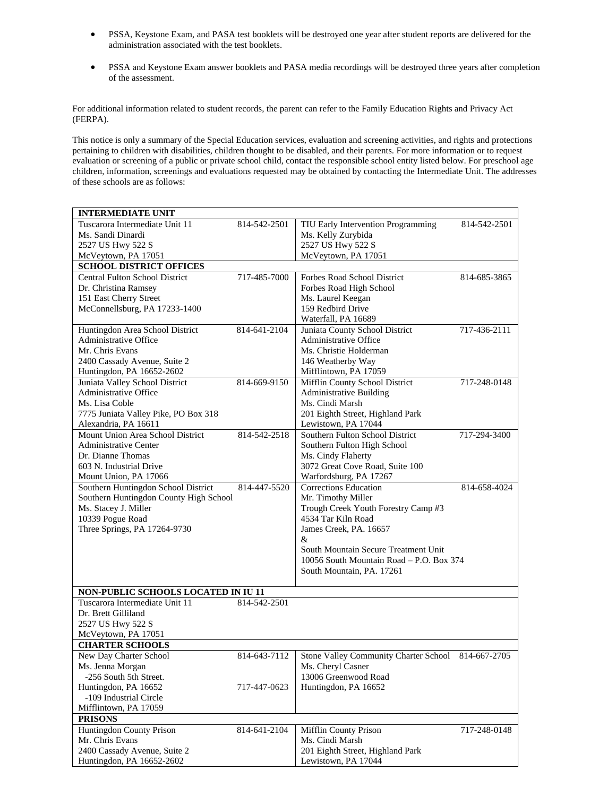- PSSA, Keystone Exam, and PASA test booklets will be destroyed one year after student reports are delivered for the administration associated with the test booklets.
- PSSA and Keystone Exam answer booklets and PASA media recordings will be destroyed three years after completion of the assessment.

For additional information related to student records, the parent can refer to the Family Education Rights and Privacy Act (FERPA).

This notice is only a summary of the Special Education services, evaluation and screening activities, and rights and protections pertaining to children with disabilities, children thought to be disabled, and their parents. For more information or to request evaluation or screening of a public or private school child, contact the responsible school entity listed below. For preschool age children, information, screenings and evaluations requested may be obtained by contacting the Intermediate Unit. The addresses of these schools are as follows:

| <b>INTERMEDIATE UNIT</b>                                |              |                                                                  |              |
|---------------------------------------------------------|--------------|------------------------------------------------------------------|--------------|
| Tuscarora Intermediate Unit 11                          | 814-542-2501 | TIU Early Intervention Programming                               | 814-542-2501 |
| Ms. Sandi Dinardi                                       |              | Ms. Kelly Zurybida                                               |              |
| 2527 US Hwy 522 S                                       |              | 2527 US Hwy 522 S                                                |              |
| McVeytown, PA 17051                                     |              | McVeytown, PA 17051                                              |              |
| <b>SCHOOL DISTRICT OFFICES</b>                          |              |                                                                  |              |
| <b>Central Fulton School District</b>                   | 717-485-7000 | Forbes Road School District                                      | 814-685-3865 |
| Dr. Christina Ramsey                                    |              | Forbes Road High School                                          |              |
| 151 East Cherry Street                                  |              | Ms. Laurel Keegan                                                |              |
| McConnellsburg, PA 17233-1400                           |              | 159 Redbird Drive                                                |              |
|                                                         |              | Waterfall, PA 16689                                              |              |
| Huntingdon Area School District                         | 814-641-2104 | Juniata County School District                                   | 717-436-2111 |
| <b>Administrative Office</b>                            |              | <b>Administrative Office</b>                                     |              |
| Mr. Chris Evans                                         |              | Ms. Christie Holderman                                           |              |
| 2400 Cassady Avenue, Suite 2                            |              | 146 Weatherby Way                                                |              |
| Huntingdon, PA 16652-2602                               |              | Mifflintown, PA 17059                                            |              |
| Juniata Valley School District<br>Administrative Office | 814-669-9150 | Mifflin County School District<br><b>Administrative Building</b> | 717-248-0148 |
| Ms. Lisa Coble                                          |              | Ms. Cindi Marsh                                                  |              |
| 7775 Juniata Valley Pike, PO Box 318                    |              | 201 Eighth Street, Highland Park                                 |              |
| Alexandria, PA 16611                                    |              | Lewistown, PA 17044                                              |              |
| Mount Union Area School District                        | 814-542-2518 | Southern Fulton School District                                  | 717-294-3400 |
| <b>Administrative Center</b>                            |              | Southern Fulton High School                                      |              |
| Dr. Dianne Thomas                                       |              | Ms. Cindy Flaherty                                               |              |
| 603 N. Industrial Drive                                 |              | 3072 Great Cove Road, Suite 100                                  |              |
| Mount Union, PA 17066                                   |              | Warfordsburg, PA 17267                                           |              |
| Southern Huntingdon School District                     | 814-447-5520 | <b>Corrections Education</b>                                     | 814-658-4024 |
| Southern Huntingdon County High School                  |              | Mr. Timothy Miller                                               |              |
| Ms. Stacey J. Miller                                    |              | Trough Creek Youth Forestry Camp #3                              |              |
| 10339 Pogue Road                                        |              | 4534 Tar Kiln Road                                               |              |
| Three Springs, PA 17264-9730                            |              | James Creek, PA. 16657                                           |              |
|                                                         |              | &                                                                |              |
|                                                         |              | South Mountain Secure Treatment Unit                             |              |
|                                                         |              | 10056 South Mountain Road - P.O. Box 374                         |              |
|                                                         |              | South Mountain, PA. 17261                                        |              |
|                                                         |              |                                                                  |              |
| NON-PUBLIC SCHOOLS LOCATED IN IU 11                     |              |                                                                  |              |
| Tuscarora Intermediate Unit 11                          | 814-542-2501 |                                                                  |              |
| Dr. Brett Gilliland                                     |              |                                                                  |              |
| 2527 US Hwy 522 S                                       |              |                                                                  |              |
| McVeytown, PA 17051                                     |              |                                                                  |              |
| <b>CHARTER SCHOOLS</b>                                  |              |                                                                  |              |
| New Day Charter School                                  | 814-643-7112 | Stone Valley Community Charter School                            | 814-667-2705 |
| Ms. Jenna Morgan<br>-256 South 5th Street.              |              | Ms. Cheryl Casner<br>13006 Greenwood Road                        |              |
| Huntingdon, PA 16652                                    | 717-447-0623 | Huntingdon, PA 16652                                             |              |
| -109 Industrial Circle                                  |              |                                                                  |              |
| Mifflintown, PA 17059                                   |              |                                                                  |              |
| <b>PRISONS</b>                                          |              |                                                                  |              |
| Huntingdon County Prison                                | 814-641-2104 | Mifflin County Prison                                            | 717-248-0148 |
| Mr. Chris Evans                                         |              | Ms. Cindi Marsh                                                  |              |
| 2400 Cassady Avenue, Suite 2                            |              | 201 Eighth Street, Highland Park                                 |              |
| Huntingdon, PA 16652-2602                               |              | Lewistown, PA 17044                                              |              |